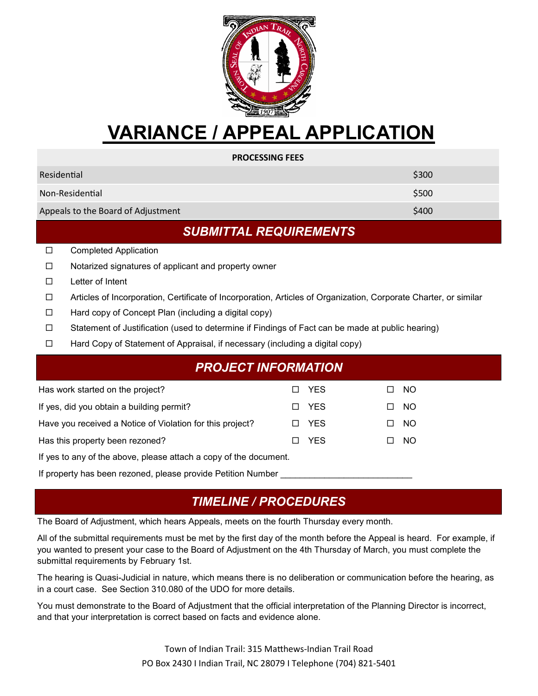

# **VARIANCE / APPEAL APPLICATION**

| <b>PROCESSING FEES</b>             |       |  |  |  |
|------------------------------------|-------|--|--|--|
| Residential                        | \$300 |  |  |  |
| Non-Residential                    | \$500 |  |  |  |
| Appeals to the Board of Adjustment | \$400 |  |  |  |

#### *SUBMITTAL REQUIREMENTS*

- □ Completed Application
- $\Box$  Notarized signatures of applicant and property owner
- $\square$  Letter of Intent
- Articles of Incorporation, Certificate of Incorporation, Articles of Organization, Corporate Charter, or similar
- $\Box$  Hard copy of Concept Plan (including a digital copy)
- $\Box$  Statement of Justification (used to determine if Findings of Fact can be made at public hearing)
- Hard Copy of Statement of Appraisal, if necessary (including a digital copy)

| PROJECT INFORMATION'                                              |                          |            |     |     |  |
|-------------------------------------------------------------------|--------------------------|------------|-----|-----|--|
| Has work started on the project?                                  |                          | □ YES      | L I | NO. |  |
| If yes, did you obtain a building permit?                         | п                        | <b>YES</b> | ப   | NO. |  |
| Have you received a Notice of Violation for this project?         | П                        | <b>YES</b> | □   | NO. |  |
| Has this property been rezoned?                                   | $\overline{\phantom{a}}$ | <b>YES</b> | L I | NO. |  |
| If yes to any of the above, please attach a copy of the document. |                          |            |     |     |  |

If property has been rezoned, please provide Petition Number

#### *TIMELINE / PROCEDURES*

The Board of Adjustment, which hears Appeals, meets on the fourth Thursday every month.

All of the submittal requirements must be met by the first day of the month before the Appeal is heard. For example, if you wanted to present your case to the Board of Adjustment on the 4th Thursday of March, you must complete the submittal requirements by February 1st.

The hearing is Quasi-Judicial in nature, which means there is no deliberation or communication before the hearing, as in a court case. See Section 310.080 of the UDO for more details.

You must demonstrate to the Board of Adjustment that the official interpretation of the Planning Director is incorrect, and that your interpretation is correct based on facts and evidence alone.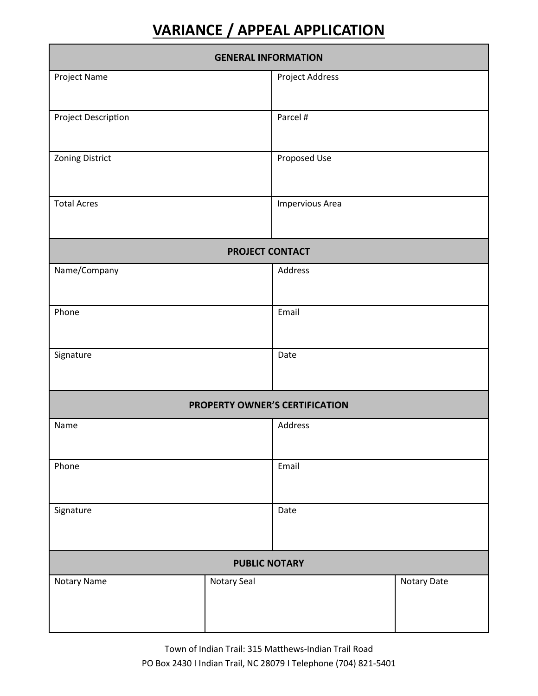## **VARIANCE / APPEAL APPLICATION**

| <b>GENERAL INFORMATION</b>            |                        |                 |             |  |  |  |
|---------------------------------------|------------------------|-----------------|-------------|--|--|--|
| Project Name                          |                        | Project Address |             |  |  |  |
|                                       |                        |                 |             |  |  |  |
| Project Description                   |                        | Parcel #        |             |  |  |  |
|                                       |                        |                 |             |  |  |  |
| Zoning District                       |                        | Proposed Use    |             |  |  |  |
|                                       |                        |                 |             |  |  |  |
| <b>Total Acres</b>                    |                        | Impervious Area |             |  |  |  |
|                                       |                        |                 |             |  |  |  |
|                                       | <b>PROJECT CONTACT</b> |                 |             |  |  |  |
| Name/Company                          |                        | Address         |             |  |  |  |
|                                       |                        |                 |             |  |  |  |
| Phone                                 |                        | Email           |             |  |  |  |
|                                       |                        |                 |             |  |  |  |
| Signature                             |                        | Date            |             |  |  |  |
|                                       |                        |                 |             |  |  |  |
| <b>PROPERTY OWNER'S CERTIFICATION</b> |                        |                 |             |  |  |  |
| Name                                  |                        | Address         |             |  |  |  |
|                                       |                        |                 |             |  |  |  |
| Phone                                 |                        | Email           |             |  |  |  |
|                                       |                        |                 |             |  |  |  |
| Signature                             |                        | Date            |             |  |  |  |
|                                       |                        |                 |             |  |  |  |
| <b>PUBLIC NOTARY</b>                  |                        |                 |             |  |  |  |
| Notary Name                           | Notary Seal            |                 | Notary Date |  |  |  |
|                                       |                        |                 |             |  |  |  |
|                                       |                        |                 |             |  |  |  |

Town of Indian Trail: 315 Matthews-Indian Trail Road PO Box 2430 I Indian Trail, NC 28079 I Telephone (704) 821-5401